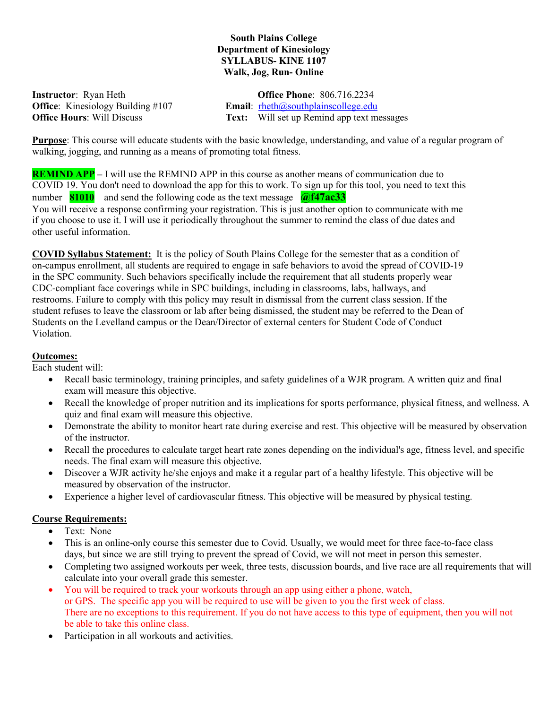## South Plains College Department of Kinesiology SYLLABUS- KINE 1107 Walk, Jog, Run- Online

| <b>Instructor</b> : Ryan Heth               | <b>Office Phone: 806.716.2234</b>                                                     |
|---------------------------------------------|---------------------------------------------------------------------------------------|
| <b>Office:</b> Kinesiology Building $\#107$ | <b>Email:</b> $r \cdot h \cdot \cos(\omega)$ rheth $(\omega)$ southplains college edu |
| <b>Office Hours: Will Discuss</b>           | <b>Text:</b> Will set up Remind app text messages                                     |

Purpose: This course will educate students with the basic knowledge, understanding, and value of a regular program of walking, jogging, and running as a means of promoting total fitness.

**REMIND APP** – I will use the REMIND APP in this course as another means of communication due to COVID 19. You don't need to download the app for this to work. To sign up for this tool, you need to text this number  $81010$  and send the following code as the text message  $\sqrt{(a)}$   $\frac{47ac33}{(a)}$ 

You will receive a response confirming your registration. This is just another option to communicate with me if you choose to use it. I will use it periodically throughout the summer to remind the class of due dates and other useful information.

COVID Syllabus Statement: It is the policy of South Plains College for the semester that as a condition of on-campus enrollment, all students are required to engage in safe behaviors to avoid the spread of COVID-19 in the SPC community. Such behaviors specifically include the requirement that all students properly wear CDC-compliant face coverings while in SPC buildings, including in classrooms, labs, hallways, and restrooms. Failure to comply with this policy may result in dismissal from the current class session. If the student refuses to leave the classroom or lab after being dismissed, the student may be referred to the Dean of Students on the Levelland campus or the Dean/Director of external centers for Student Code of Conduct Violation.

# Outcomes:

Each student will:

- Recall basic terminology, training principles, and safety guidelines of a WJR program. A written quiz and final exam will measure this objective.
- Recall the knowledge of proper nutrition and its implications for sports performance, physical fitness, and wellness. A quiz and final exam will measure this objective.
- Demonstrate the ability to monitor heart rate during exercise and rest. This objective will be measured by observation of the instructor.
- Recall the procedures to calculate target heart rate zones depending on the individual's age, fitness level, and specific needs. The final exam will measure this objective.
- Discover a WJR activity he/she enjoys and make it a regular part of a healthy lifestyle. This objective will be measured by observation of the instructor.
- Experience a higher level of cardiovascular fitness. This objective will be measured by physical testing.

# Course Requirements:

- Text: None
- This is an online-only course this semester due to Covid. Usually, we would meet for three face-to-face class days, but since we are still trying to prevent the spread of Covid, we will not meet in person this semester.
- Completing two assigned workouts per week, three tests, discussion boards, and live race are all requirements that will calculate into your overall grade this semester.
- You will be required to track your workouts through an app using either a phone, watch, or GPS. The specific app you will be required to use will be given to you the first week of class. There are no exceptions to this requirement. If you do not have access to this type of equipment, then you will not be able to take this online class.
- Participation in all workouts and activities.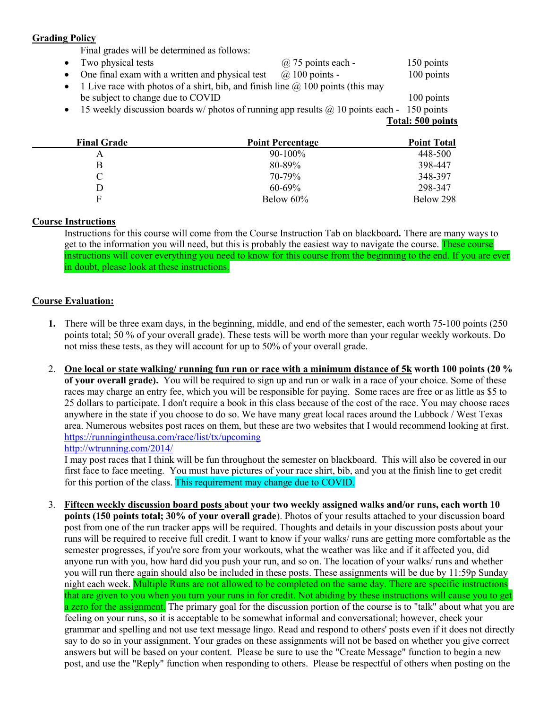#### Grading Policy

Final grades will be determined as follows:

• Two physical tests  $\omega$  75 points each - 150 points • One final exam with a written and physical test  $\omega$  100 points - 100 points • 1 Live race with photos of a shirt, bib, and finish line  $\omega$  100 points (this may be subject to change due to COVID 100 points  $\bullet$  15 weekly discussion boards w/ photos of running app results  $\omega$  10 points each - 150 points

Total: 500 points

| <b>Final Grade</b> | <b>Point Percentage</b> | <b>Point Total</b> |
|--------------------|-------------------------|--------------------|
|                    | $90-100\%$              | 448-500            |
| B                  | 80-89%                  | 398-447            |
| C.                 | 70-79%                  | 348-397            |
|                    | $60 - 69\%$             | 298-347            |
| F                  | Below 60%               | Below 298          |

## Course Instructions

Instructions for this course will come from the Course Instruction Tab on blackboard. There are many ways to get to the information you will need, but this is probably the easiest way to navigate the course. These course instructions will cover everything you need to know for this course from the beginning to the end. If you are ever in doubt, please look at these instructions.

## Course Evaluation:

- 1. There will be three exam days, in the beginning, middle, and end of the semester, each worth 75-100 points (250 points total; 50 % of your overall grade). These tests will be worth more than your regular weekly workouts. Do not miss these tests, as they will account for up to 50% of your overall grade.
- 2. One local or state walking/ running fun run or race with a minimum distance of 5k worth 100 points (20 % of your overall grade). You will be required to sign up and run or walk in a race of your choice. Some of these races may charge an entry fee, which you will be responsible for paying. Some races are free or as little as \$5 to 25 dollars to participate. I don't require a book in this class because of the cost of the race. You may choose races anywhere in the state if you choose to do so. We have many great local races around the Lubbock / West Texas area. Numerous websites post races on them, but these are two websites that I would recommend looking at first. https://runningintheusa.com/race/list/tx/upcoming http://wtrunning.com/2014/

I may post races that I think will be fun throughout the semester on blackboard. This will also be covered in our first face to face meeting. You must have pictures of your race shirt, bib, and you at the finish line to get credit for this portion of the class. This requirement may change due to COVID.

3. Fifteen weekly discussion board posts about your two weekly assigned walks and/or runs, each worth 10 points (150 points total; 30% of your overall grade). Photos of your results attached to your discussion board post from one of the run tracker apps will be required. Thoughts and details in your discussion posts about your runs will be required to receive full credit. I want to know if your walks/ runs are getting more comfortable as the semester progresses, if you're sore from your workouts, what the weather was like and if it affected you, did anyone run with you, how hard did you push your run, and so on. The location of your walks/ runs and whether you will run there again should also be included in these posts. These assignments will be due by 11:59p Sunday night each week. Multiple Runs are not allowed to be completed on the same day. There are specific instructions that are given to you when you turn your runs in for credit. Not abiding by these instructions will cause you to get a zero for the assignment. The primary goal for the discussion portion of the course is to "talk" about what you are feeling on your runs, so it is acceptable to be somewhat informal and conversational; however, check your grammar and spelling and not use text message lingo. Read and respond to others' posts even if it does not directly say to do so in your assignment. Your grades on these assignments will not be based on whether you give correct answers but will be based on your content. Please be sure to use the "Create Message" function to begin a new post, and use the "Reply" function when responding to others. Please be respectful of others when posting on the